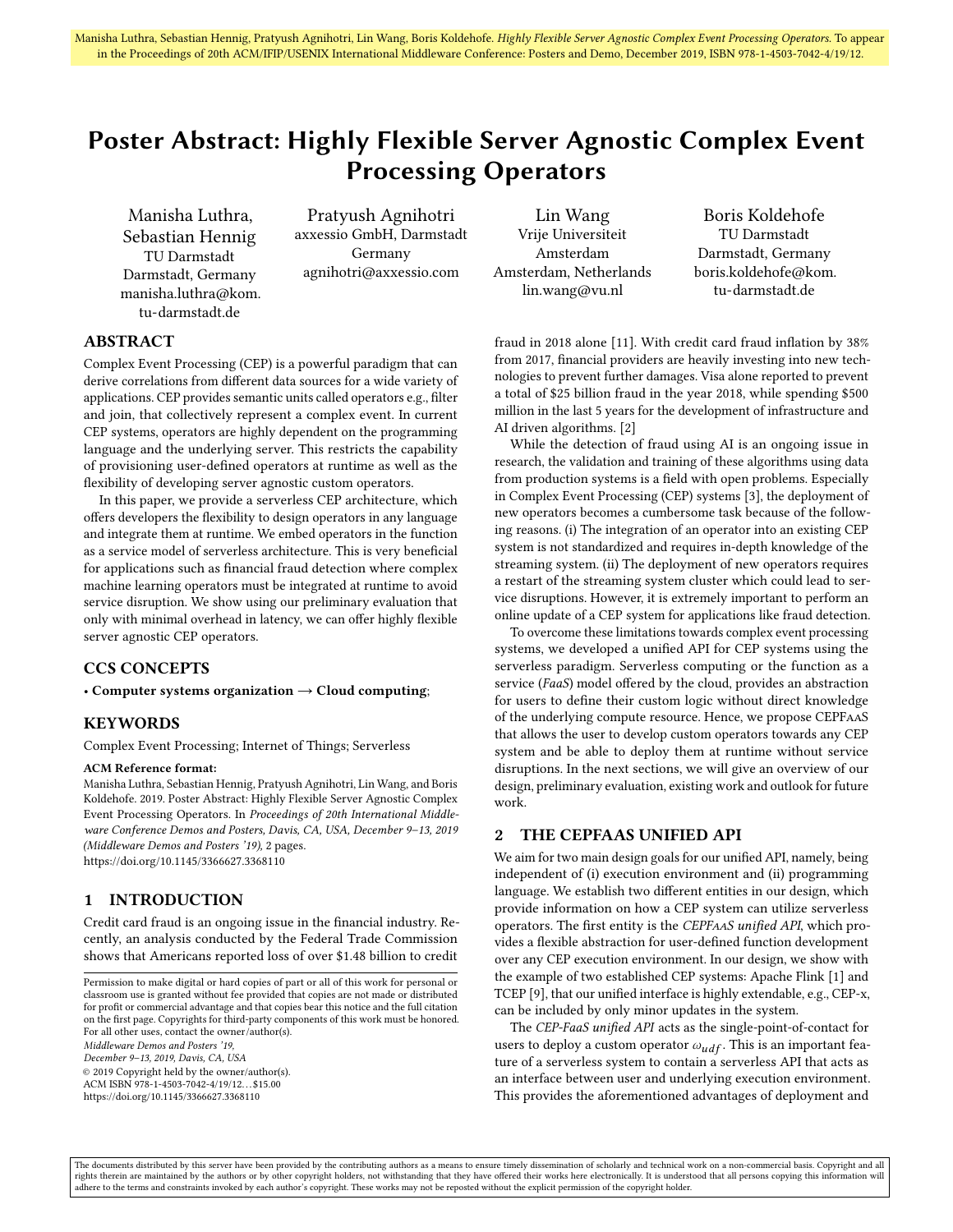# Poster Abstract: Highly Flexible Server Agnostic Complex Event Processing Operators

Manisha Luthra, Sebastian Hennig TU Darmstadt Darmstadt, Germany manisha.luthra@kom. tu-darmstadt.de

Pratyush Agnihotri axxessio GmbH, Darmstadt Germany agnihotri@axxessio.com

Lin Wang Vrije Universiteit Amsterdam Amsterdam, Netherlands lin.wang@vu.nl

Boris Koldehofe TU Darmstadt Darmstadt, Germany boris.koldehofe@kom. tu-darmstadt.de

# ABSTRACT

Complex Event Processing (CEP) is a powerful paradigm that can derive correlations from different data sources for a wide variety of applications. CEP provides semantic units called operators e.g., filter and join, that collectively represent a complex event. In current CEP systems, operators are highly dependent on the programming language and the underlying server. This restricts the capability of provisioning user-defined operators at runtime as well as the flexibility of developing server agnostic custom operators.

In this paper, we provide a serverless CEP architecture, which offers developers the flexibility to design operators in any language and integrate them at runtime. We embed operators in the function as a service model of serverless architecture. This is very beneficial for applications such as financial fraud detection where complex machine learning operators must be integrated at runtime to avoid service disruption. We show using our preliminary evaluation that only with minimal overhead in latency, we can offer highly flexible server agnostic CEP operators.

#### CCS CONCEPTS

• Computer systems organization  $\rightarrow$  Cloud computing;

#### KEYWORDS

Complex Event Processing; Internet of Things; Serverless

#### ACM Reference format:

Manisha Luthra, Sebastian Hennig, Pratyush Agnihotri, Lin Wang, and Boris Koldehofe. 2019. Poster Abstract: Highly Flexible Server Agnostic Complex Event Processing Operators. In Proceedings of 20th International Middleware Conference Demos and Posters, Davis, CA, USA, December 9–13, 2019 (Middleware Demos and Posters '19), [2](#page-1-0) pages. <https://doi.org/10.1145/3366627.3368110>

## 1 INTRODUCTION

Credit card fraud is an ongoing issue in the financial industry. Recently, an analysis conducted by the Federal Trade Commission shows that Americans reported loss of over \$1.48 billion to credit

ACM ISBN 978-1-4503-7042-4/19/12. . . \$15.00 <https://doi.org/10.1145/3366627.3368110>

fraud in 2018 alone [\[11\]](#page-1-1). With credit card fraud inflation by 38% from 2017, financial providers are heavily investing into new technologies to prevent further damages. Visa alone reported to prevent a total of \$25 billion fraud in the year 2018, while spending \$500 million in the last 5 years for the development of infrastructure and AI driven algorithms. [\[2\]](#page-1-2)

While the detection of fraud using AI is an ongoing issue in research, the validation and training of these algorithms using data from production systems is a field with open problems. Especially in Complex Event Processing (CEP) systems [\[3\]](#page-1-3), the deployment of new operators becomes a cumbersome task because of the following reasons. (i) The integration of an operator into an existing CEP system is not standardized and requires in-depth knowledge of the streaming system. (ii) The deployment of new operators requires a restart of the streaming system cluster which could lead to service disruptions. However, it is extremely important to perform an online update of a CEP system for applications like fraud detection.

To overcome these limitations towards complex event processing systems, we developed a unified API for CEP systems using the serverless paradigm. Serverless computing or the function as a service (FaaS) model offered by the cloud, provides an abstraction for users to define their custom logic without direct knowledge of the underlying compute resource. Hence, we propose CEPFaaS that allows the user to develop custom operators towards any CEP system and be able to deploy them at runtime without service disruptions. In the next sections, we will give an overview of our design, preliminary evaluation, existing work and outlook for future work.

## 2 THE CEPFAAS UNIFIED API

We aim for two main design goals for our unified API, namely, being independent of (i) execution environment and (ii) programming language. We establish two different entities in our design, which provide information on how a CEP system can utilize serverless operators. The first entity is the CEPFaaS unified API, which provides a flexible abstraction for user-defined function development over any CEP execution environment. In our design, we show with the example of two established CEP systems: Apache Flink [\[1\]](#page-1-4) and TCEP [\[9\]](#page-1-5), that our unified interface is highly extendable, e.g., CEP-x, can be included by only minor updates in the system.

The CEP-FaaS unified API acts as the single-point-of-contact for users to deploy a custom operator  $\omega_{udf}$ . This is an important feature of a serverless system to contain a serverless API that acts as an interface between user and underlying execution environment. This provides the aforementioned advantages of deployment and

The documents distributed by this server have been provided by the contributing authors as a means to ensure timely dissemination of scholarly and technical work on a non-commercial basis. Copyright and all rights therein are maintained by the authors or by other copyright holders, not withstanding that they have offered their works here electronically. It is understood that all persons copying this information will<br>adhere to

Permission to make digital or hard copies of part or all of this work for personal or classroom use is granted without fee provided that copies are not made or distributed for profit or commercial advantage and that copies bear this notice and the full citation on the first page. Copyrights for third-party components of this work must be honored. For all other uses, contact the owner/author(s). Middleware Demos and Posters '19, December 9–13, 2019, Davis, CA, USA © 2019 Copyright held by the owner/author(s).